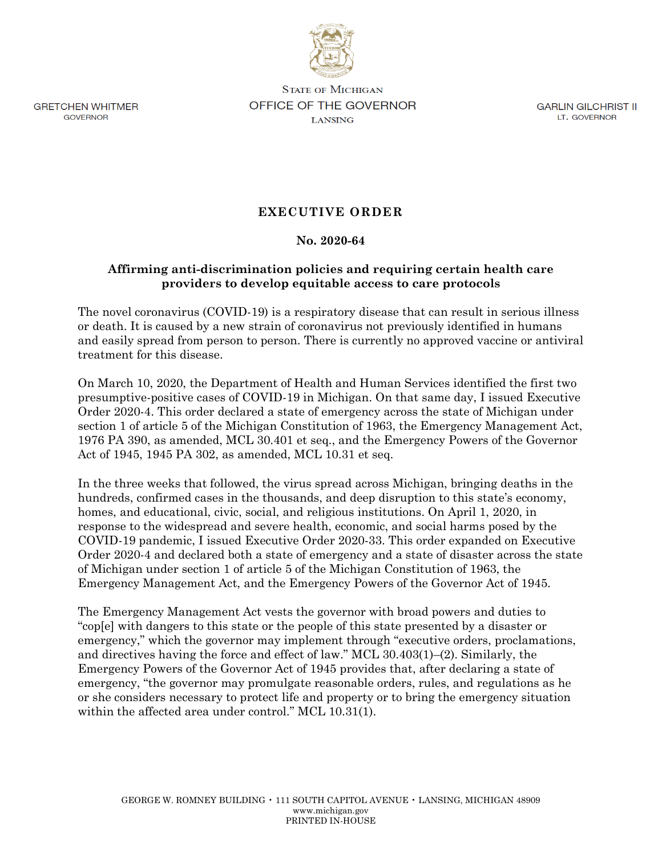

**GRETCHEN WHITMER** GOVERNOR

**STATE OF MICHIGAN OFFICE OF THE GOVERNOR LANSING** 

GARLIN GILCHRIST II LT. GOVERNOR

## **EXECUTIVE ORDER**

## **No. 2020-64**

## **Affirming anti-discrimination policies and requiring certain health care providers to develop equitable access to care protocols**

The novel coronavirus (COVID-19) is a respiratory disease that can result in serious illness or death. It is caused by a new strain of coronavirus not previously identified in humans and easily spread from person to person. There is currently no approved vaccine or antiviral treatment for this disease.

On March 10, 2020, the Department of Health and Human Services identified the first two presumptive-positive cases of COVID-19 in Michigan. On that same day, I issued Executive Order 2020-4. This order declared a state of emergency across the state of Michigan under section 1 of article 5 of the Michigan Constitution of 1963, the Emergency Management Act, 1976 PA 390, as amended, MCL 30.401 et seq., and the Emergency Powers of the Governor Act of 1945, 1945 PA 302, as amended, MCL 10.31 et seq.

In the three weeks that followed, the virus spread across Michigan, bringing deaths in the hundreds, confirmed cases in the thousands, and deep disruption to this state's economy, homes, and educational, civic, social, and religious institutions. On April 1, 2020, in response to the widespread and severe health, economic, and social harms posed by the COVID-19 pandemic, I issued Executive Order 2020-33. This order expanded on Executive Order 2020-4 and declared both a state of emergency and a state of disaster across the state of Michigan under section 1 of article 5 of the Michigan Constitution of 1963, the Emergency Management Act, and the Emergency Powers of the Governor Act of 1945.

The Emergency Management Act vests the governor with broad powers and duties to "cop[e] with dangers to this state or the people of this state presented by a disaster or emergency," which the governor may implement through "executive orders, proclamations, and directives having the force and effect of law." MCL 30.403(1)–(2). Similarly, the Emergency Powers of the Governor Act of 1945 provides that, after declaring a state of emergency, "the governor may promulgate reasonable orders, rules, and regulations as he or she considers necessary to protect life and property or to bring the emergency situation within the affected area under control." MCL 10.31(1).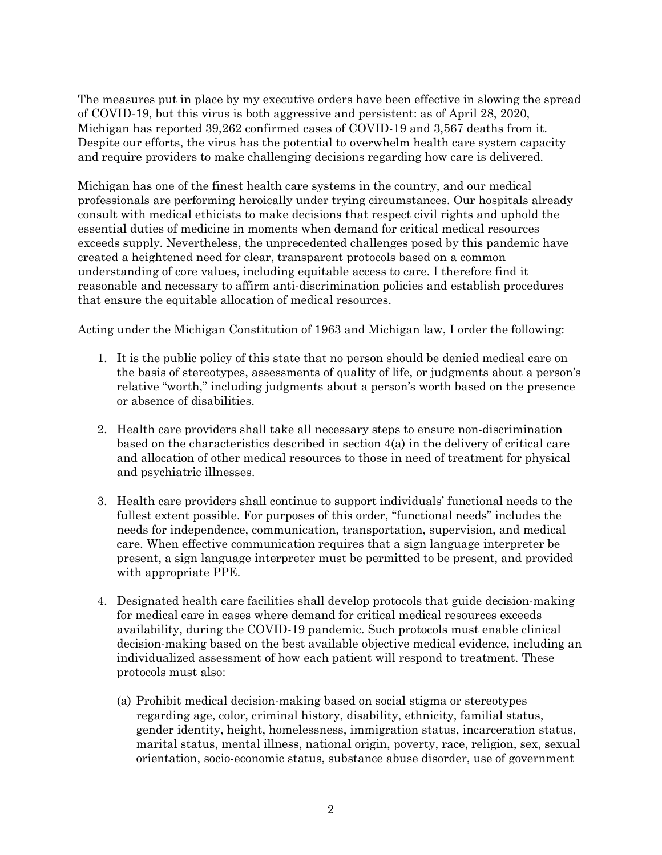The measures put in place by my executive orders have been effective in slowing the spread of COVID-19, but this virus is both aggressive and persistent: as of April 28, 2020, Michigan has reported 39,262 confirmed cases of COVID-19 and 3,567 deaths from it. Despite our efforts, the virus has the potential to overwhelm health care system capacity and require providers to make challenging decisions regarding how care is delivered.

Michigan has one of the finest health care systems in the country, and our medical professionals are performing heroically under trying circumstances. Our hospitals already consult with medical ethicists to make decisions that respect civil rights and uphold the essential duties of medicine in moments when demand for critical medical resources exceeds supply. Nevertheless, the unprecedented challenges posed by this pandemic have created a heightened need for clear, transparent protocols based on a common understanding of core values, including equitable access to care. I therefore find it reasonable and necessary to affirm anti-discrimination policies and establish procedures that ensure the equitable allocation of medical resources.

Acting under the Michigan Constitution of 1963 and Michigan law, I order the following:

- 1. It is the public policy of this state that no person should be denied medical care on the basis of stereotypes, assessments of quality of life, or judgments about a person's relative "worth," including judgments about a person's worth based on the presence or absence of disabilities.
- 2. Health care providers shall take all necessary steps to ensure non-discrimination based on the characteristics described in section 4(a) in the delivery of critical care and allocation of other medical resources to those in need of treatment for physical and psychiatric illnesses.
- 3. Health care providers shall continue to support individuals' functional needs to the fullest extent possible. For purposes of this order, "functional needs" includes the needs for independence, communication, transportation, supervision, and medical care. When effective communication requires that a sign language interpreter be present, a sign language interpreter must be permitted to be present, and provided with appropriate PPE.
- 4. Designated health care facilities shall develop protocols that guide decision-making for medical care in cases where demand for critical medical resources exceeds availability, during the COVID-19 pandemic. Such protocols must enable clinical decision-making based on the best available objective medical evidence, including an individualized assessment of how each patient will respond to treatment. These protocols must also:
	- (a) Prohibit medical decision-making based on social stigma or stereotypes regarding age, color, criminal history, disability, ethnicity, familial status, gender identity, height, homelessness, immigration status, incarceration status, marital status, mental illness, national origin, poverty, race, religion, sex, sexual orientation, socio-economic status, substance abuse disorder, use of government